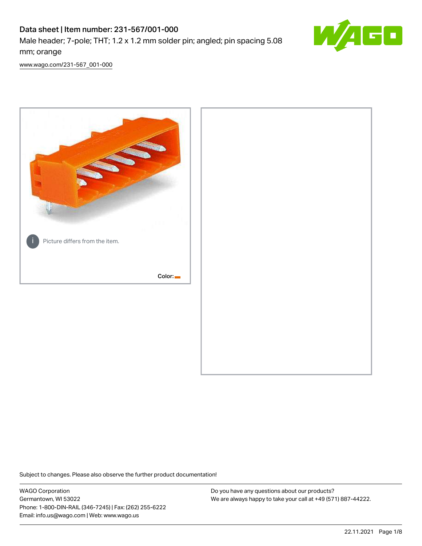# Data sheet | Item number: 231-567/001-000

Male header; 7-pole; THT; 1.2 x 1.2 mm solder pin; angled; pin spacing 5.08 mm; orange



[www.wago.com/231-567\\_001-000](http://www.wago.com/231-567_001-000)



Subject to changes. Please also observe the further product documentation!

WAGO Corporation Germantown, WI 53022 Phone: 1-800-DIN-RAIL (346-7245) | Fax: (262) 255-6222 Email: info.us@wago.com | Web: www.wago.us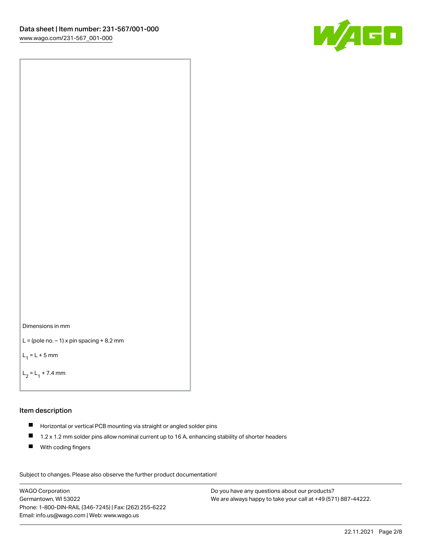



```
L = (pole no. -1) x pin spacing +8.2 mm
```
 $L_1 = L + 5$  mm

```
L_2 = L_1 + 7.4 mm
```
### Item description

- Horizontal or vertical PCB mounting via straight or angled solder pins
- $\blacksquare$ 1.2 x 1.2 mm solder pins allow nominal current up to 16 A, enhancing stability of shorter headers
- **With coding fingers**

Subject to changes. Please also observe the further product documentation! Data

WAGO Corporation Germantown, WI 53022 Phone: 1-800-DIN-RAIL (346-7245) | Fax: (262) 255-6222 Email: info.us@wago.com | Web: www.wago.us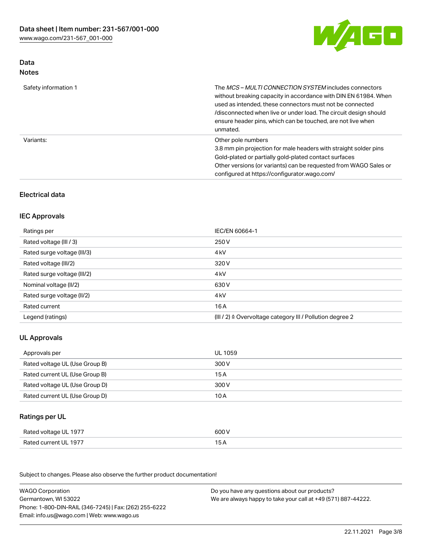

## Data Notes

| Safety information 1 | The <i>MCS – MULTI CONNECTION SYSTEM</i> includes connectors<br>without breaking capacity in accordance with DIN EN 61984. When<br>used as intended, these connectors must not be connected<br>/disconnected when live or under load. The circuit design should<br>ensure header pins, which can be touched, are not live when<br>unmated. |
|----------------------|--------------------------------------------------------------------------------------------------------------------------------------------------------------------------------------------------------------------------------------------------------------------------------------------------------------------------------------------|
| Variants:            | Other pole numbers<br>3.8 mm pin projection for male headers with straight solder pins<br>Gold-plated or partially gold-plated contact surfaces<br>Other versions (or variants) can be requested from WAGO Sales or<br>configured at https://configurator.wago.com/                                                                        |

# Electrical data

# IEC Approvals

| Ratings per                 | IEC/EN 60664-1                                                        |
|-----------------------------|-----------------------------------------------------------------------|
| Rated voltage (III / 3)     | 250 V                                                                 |
| Rated surge voltage (III/3) | 4 <sub>k</sub> V                                                      |
| Rated voltage (III/2)       | 320 V                                                                 |
| Rated surge voltage (III/2) | 4 <sub>kV</sub>                                                       |
| Nominal voltage (II/2)      | 630 V                                                                 |
| Rated surge voltage (II/2)  | 4 <sub>k</sub> V                                                      |
| Rated current               | 16A                                                                   |
| Legend (ratings)            | $(III / 2)$ $\triangle$ Overvoltage category III / Pollution degree 2 |

# UL Approvals

| Approvals per                  | UL 1059 |
|--------------------------------|---------|
| Rated voltage UL (Use Group B) | 300 V   |
| Rated current UL (Use Group B) | 15 A    |
| Rated voltage UL (Use Group D) | 300 V   |
| Rated current UL (Use Group D) | 10 A    |

### Ratings per UL

| Rated voltage UL 1977 | 600 V |
|-----------------------|-------|
| Rated current UL 1977 |       |

Subject to changes. Please also observe the further product documentation!

| <b>WAGO Corporation</b>                                | Do you have any questions about our products?                 |
|--------------------------------------------------------|---------------------------------------------------------------|
| Germantown, WI 53022                                   | We are always happy to take your call at +49 (571) 887-44222. |
| Phone: 1-800-DIN-RAIL (346-7245)   Fax: (262) 255-6222 |                                                               |
| Email: info.us@wago.com   Web: www.wago.us             |                                                               |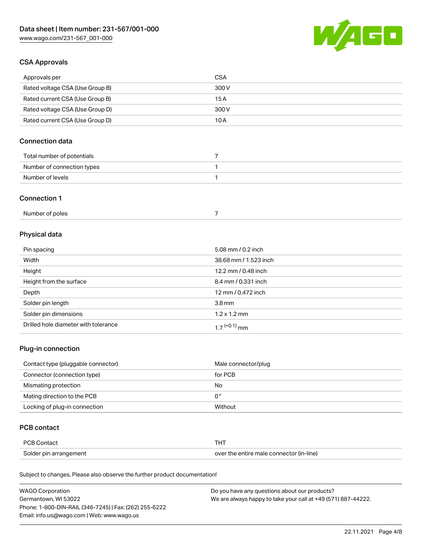

## CSA Approvals

| Approvals per                   | CSA   |
|---------------------------------|-------|
| Rated voltage CSA (Use Group B) | 300 V |
| Rated current CSA (Use Group B) | 15 A  |
| Rated voltage CSA (Use Group D) | 300 V |
| Rated current CSA (Use Group D) | 10 A  |

# Connection data

| Total number of potentials |  |
|----------------------------|--|
| Number of connection types |  |
| Number of levels           |  |

### Connection 1

| Number of poles |  |
|-----------------|--|
|-----------------|--|

# Physical data

| Pin spacing                          | 5.08 mm / 0.2 inch    |
|--------------------------------------|-----------------------|
| Width                                | 38.68 mm / 1.523 inch |
| Height                               | 12.2 mm / 0.48 inch   |
| Height from the surface              | 8.4 mm / 0.331 inch   |
| Depth                                | 12 mm / 0.472 inch    |
| Solder pin length                    | 3.8 <sub>mm</sub>     |
| Solder pin dimensions                | $1.2 \times 1.2$ mm   |
| Drilled hole diameter with tolerance | $17^{(+0.1)}$ mm      |

# Plug-in connection

| Contact type (pluggable connector) | Male connector/plug |
|------------------------------------|---------------------|
| Connector (connection type)        | for PCB             |
| Mismating protection               | No                  |
| Mating direction to the PCB        | 0°                  |
| Locking of plug-in connection      | Without             |

## PCB contact

| <b>PCB Contact</b>     | <b>THT</b>                               |
|------------------------|------------------------------------------|
| Solder pin arrangement | over the entire male connector (in-line) |

Subject to changes. Please also observe the further product documentation!

| <b>WAGO Corporation</b>                                | Do you have any questions about our products?                 |
|--------------------------------------------------------|---------------------------------------------------------------|
| Germantown, WI 53022                                   | We are always happy to take your call at +49 (571) 887-44222. |
| Phone: 1-800-DIN-RAIL (346-7245)   Fax: (262) 255-6222 |                                                               |
| Email: info.us@wago.com   Web: www.wago.us             |                                                               |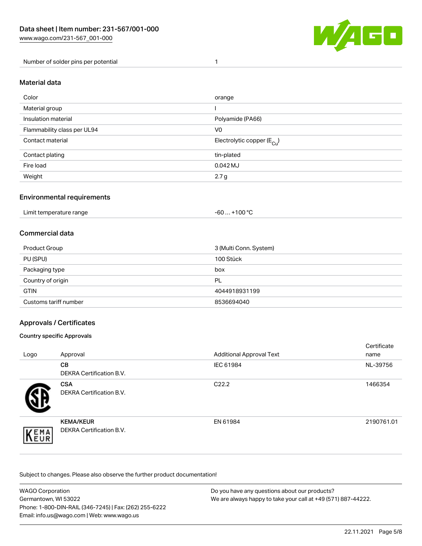

Number of solder pins per potential 1

### Material data

| Color                       | orange                                 |
|-----------------------------|----------------------------------------|
| Material group              |                                        |
| Insulation material         | Polyamide (PA66)                       |
| Flammability class per UL94 | V <sub>0</sub>                         |
| Contact material            | Electrolytic copper (E <sub>Cu</sub> ) |
| Contact plating             | tin-plated                             |
| Fire load                   | 0.042 MJ                               |
| Weight                      | 2.7 <sub>g</sub>                       |

### Environmental requirements

Limit temperature range  $-60... +100$  °C

### Commercial data

| Product Group         | 3 (Multi Conn. System) |
|-----------------------|------------------------|
| PU (SPU)              | 100 Stück              |
| Packaging type        | box                    |
| Country of origin     | PL                     |
| <b>GTIN</b>           | 4044918931199          |
| Customs tariff number | 8536694040             |

### Approvals / Certificates

### Country specific Approvals

| Logo                | Approval                                            | <b>Additional Approval Text</b> | Certificate<br>name |
|---------------------|-----------------------------------------------------|---------------------------------|---------------------|
|                     | <b>CB</b><br><b>DEKRA Certification B.V.</b>        | IEC 61984                       | NL-39756            |
|                     | <b>CSA</b><br>DEKRA Certification B.V.              | C <sub>22.2</sub>               | 1466354             |
| EMA<br><b>INEUR</b> | <b>KEMA/KEUR</b><br><b>DEKRA Certification B.V.</b> | EN 61984                        | 2190761.01          |

Subject to changes. Please also observe the further product documentation!

| <b>WAGO Corporation</b>                                | Do you have any questions about our products?                 |
|--------------------------------------------------------|---------------------------------------------------------------|
| Germantown, WI 53022                                   | We are always happy to take your call at +49 (571) 887-44222. |
| Phone: 1-800-DIN-RAIL (346-7245)   Fax: (262) 255-6222 |                                                               |
| Email: info.us@wago.com   Web: www.wago.us             |                                                               |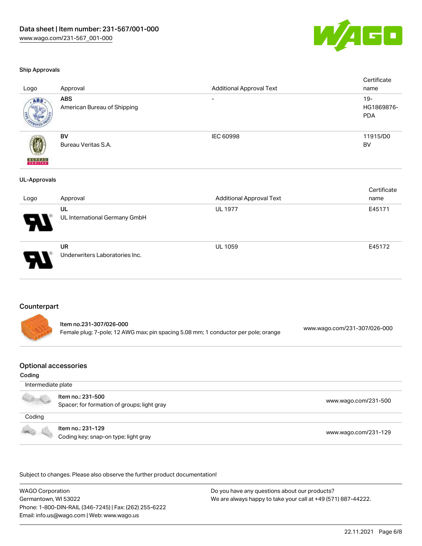

#### Ship Approvals

| Logo                     | Approval                                    | <b>Additional Approval Text</b> | Certificate<br>name                |
|--------------------------|---------------------------------------------|---------------------------------|------------------------------------|
| ABS                      | <b>ABS</b><br>American Bureau of Shipping   | $\overline{\phantom{0}}$        | $19 -$<br>HG1869876-<br><b>PDA</b> |
| <b>BUREAU</b><br>VERITAS | <b>BV</b><br>Bureau Veritas S.A.            | IEC 60998                       | 11915/D0<br>BV                     |
| <b>UL-Approvals</b>      |                                             |                                 |                                    |
| Logo                     | Approval                                    | <b>Additional Approval Text</b> | Certificate<br>name                |
|                          | UL<br>UL International Germany GmbH         | <b>UL 1977</b>                  | E45171                             |
|                          | <b>UR</b><br>Underwriters Laboratories Inc. | UL 1059                         | E45172                             |
| Counterpart              |                                             |                                 |                                    |



| ltem no.231-307/026-000                                                            | www.wago.com/231-307/026-000 |
|------------------------------------------------------------------------------------|------------------------------|
| Female plug; 7-pole; 12 AWG max; pin spacing 5.08 mm; 1 conductor per pole; orange |                              |

#### Optional accessories

#### Coding

| Intermediate plate |                                                                  |                      |
|--------------------|------------------------------------------------------------------|----------------------|
|                    | Item no.: 231-500<br>Spacer; for formation of groups; light gray | www.wago.com/231-500 |
| Coding             |                                                                  |                      |
|                    | Item no.: 231-129<br>Coding key; snap-on type; light gray        | www.wago.com/231-129 |

.<br>Subject to changes. Please also observe the further product documentation!

WAGO Corporation Germantown, WI 53022 Phone: 1-800-DIN-RAIL (346-7245) | Fax: (262) 255-6222 Email: info.us@wago.com | Web: www.wago.us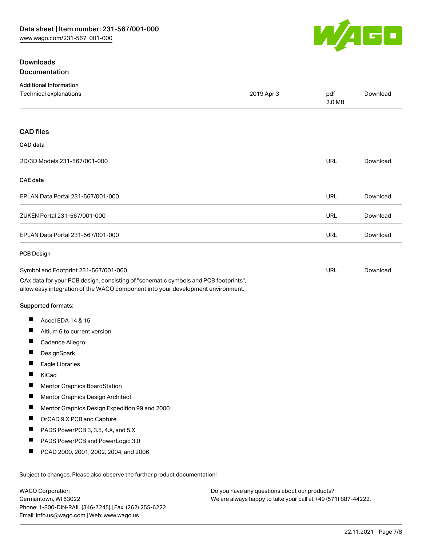

# **Downloads** Documentation

| <b>Additional Information</b>                                                                                                                                          |            |               |          |
|------------------------------------------------------------------------------------------------------------------------------------------------------------------------|------------|---------------|----------|
| Technical explanations                                                                                                                                                 | 2019 Apr 3 | pdf<br>2.0 MB | Download |
|                                                                                                                                                                        |            |               |          |
| <b>CAD</b> files                                                                                                                                                       |            |               |          |
| CAD data                                                                                                                                                               |            |               |          |
| 2D/3D Models 231-567/001-000                                                                                                                                           |            | URL           | Download |
| <b>CAE</b> data                                                                                                                                                        |            |               |          |
| EPLAN Data Portal 231-567/001-000                                                                                                                                      |            | <b>URL</b>    | Download |
| ZUKEN Portal 231-567/001-000                                                                                                                                           |            | <b>URL</b>    | Download |
| EPLAN Data Portal 231-567/001-000                                                                                                                                      |            | <b>URL</b>    | Download |
| <b>PCB Design</b>                                                                                                                                                      |            |               |          |
| Symbol and Footprint 231-567/001-000                                                                                                                                   |            | URL           | Download |
| CAx data for your PCB design, consisting of "schematic symbols and PCB footprints",<br>allow easy integration of the WAGO component into your development environment. |            |               |          |
| Supported formats:                                                                                                                                                     |            |               |          |
| Ш<br>Accel EDA 14 & 15                                                                                                                                                 |            |               |          |
| Ш<br>Altium 6 to current version                                                                                                                                       |            |               |          |
| Ш<br>Cadence Allegro                                                                                                                                                   |            |               |          |
| DesignSpark                                                                                                                                                            |            |               |          |
| Ш<br>Eagle Libraries                                                                                                                                                   |            |               |          |
| Ш<br>KiCad                                                                                                                                                             |            |               |          |
| H<br>Mentor Graphics BoardStation                                                                                                                                      |            |               |          |
| ш<br>Mentor Graphics Design Architect                                                                                                                                  |            |               |          |
| п<br>Mentor Graphics Design Expedition 99 and 2000                                                                                                                     |            |               |          |
| ш<br>OrCAD 9.X PCB and Capture                                                                                                                                         |            |               |          |
| Ш<br>PADS PowerPCB 3, 3.5, 4.X, and 5.X                                                                                                                                |            |               |          |
| ш<br>PADS PowerPCB and PowerLogic 3.0                                                                                                                                  |            |               |          |
| ш<br>PCAD 2000, 2001, 2002, 2004, and 2006                                                                                                                             |            |               |          |
|                                                                                                                                                                        |            |               |          |
| Subject to changes. Please also observe the further product documentation!                                                                                             |            |               |          |

WAGO Corporation Germantown, WI 53022 Phone: 1-800-DIN-RAIL (346-7245) | Fax: (262) 255-6222 Email: info.us@wago.com | Web: www.wago.us